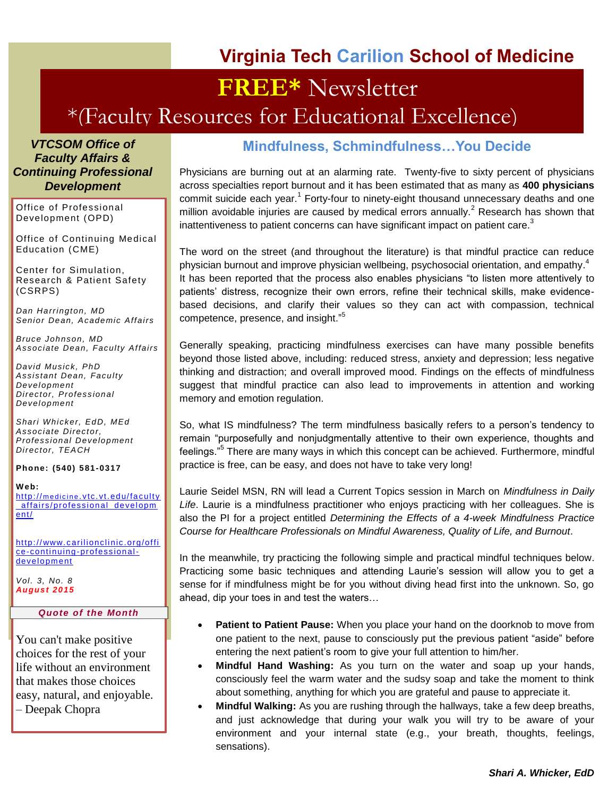### **Virginia Tech Carilion School of Medicine**

# **FREE\*** Newsletter

## \*(Faculty Resources for Educational Excellence)

*VTCSOM Office of Faculty Affairs & Continuing Professional Development*

Office of Professional Development (OPD)

Office of Continuing Medical Education (CME)

Center for Simulation, Research & Patient Safety (CSRPS)

*Dan Harrington, MD Senior Dean, Academic Affairs*

*Bruce Johnson, MD Associate Dean, Faculty Affairs*

*David Musick, PhD Assistant Dean, Faculty Development Director, Professional Development*

*Shari Whicker, EdD, MEd Associate Director, Professional Development Director, TEACH*

**Phone: (540) 581 -0317**

#### **W eb:**

http://medicine.vtc.vt.edu/faculty affairs/professional developm [ent/](http://medicine.vtc.vt.edu/faculty_affairs/professional_development/)

[http:// www.c arilionclinic.org/offi](http://www.carilionclinic.org/office-continuing-professional-development) [ce-continuing-professional](http://www.carilionclinic.org/office-continuing-professional-development)[development](http://www.carilionclinic.org/office-continuing-professional-development)

*Vol. 3, No. 8 August 2015*

#### *Quote of the Month*

You can't make positive choices for the rest of your life without an environment that makes those choices easy, natural, and enjoyable. – Deepak Chopra

### **Mindfulness, Schmindfulness…You Decide**

Physicians are burning out at an alarming rate. Twenty-five to sixty percent of physicians across specialties report burnout and it has been estimated that as many as **400 physicians** commit suicide each year.<sup>1</sup> Forty-four to ninety-eight thousand unnecessary deaths and one million avoidable injuries are caused by medical errors annually.<sup>2</sup> Research has shown that inattentiveness to patient concerns can have significant impact on patient care. $3$ 

The word on the street (and throughout the literature) is that mindful practice can reduce physician burnout and improve physician wellbeing, psychosocial orientation, and empathy. $^4$ It has been reported that the process also enables physicians "to listen more attentively to patients' distress, recognize their own errors, refine their technical skills, make evidencebased decisions, and clarify their values so they can act with compassion, technical competence, presence, and insight."<sup>5</sup>

Generally speaking, practicing mindfulness exercises can have many possible benefits beyond those listed above, including: reduced stress, anxiety and depression; less negative thinking and distraction; and overall improved mood. Findings on the effects of mindfulness suggest that mindful practice can also lead to improvements in attention and working memory and emotion regulation.

So, what IS mindfulness? The term mindfulness basically refers to a person's tendency to remain "purposefully and nonjudgmentally attentive to their own experience, thoughts and feelings."<sup>5</sup> There are many ways in which this concept can be achieved. Furthermore, mindful practice is free, can be easy, and does not have to take very long!

Laurie Seidel MSN, RN will lead a Current Topics session in March on *Mindfulness in Daily Life*. Laurie is a mindfulness practitioner who enjoys practicing with her colleagues. She is also the PI for a project entitled *Determining the Effects of a 4-week Mindfulness Practice Course for Healthcare Professionals on Mindful Awareness, Quality of Life, and Burnout*.

In the meanwhile, try practicing the following simple and practical mindful techniques below. Practicing some basic techniques and attending Laurie's session will allow you to get a sense for if mindfulness might be for you without diving head first into the unknown. So, go ahead, dip your toes in and test the waters…

- **Patient to Patient Pause:** When you place your hand on the doorknob to move from one patient to the next, pause to consciously put the previous patient "aside" before entering the next patient's room to give your full attention to him/her.
- **Mindful Hand Washing:** As you turn on the water and soap up your hands, consciously feel the warm water and the sudsy soap and take the moment to think about something, anything for which you are grateful and pause to appreciate it.
- **Mindful Walking:** As you are rushing through the hallways, take a few deep breaths, and just acknowledge that during your walk you will try to be aware of your environment and your internal state (e.g., your breath, thoughts, feelings, sensations).